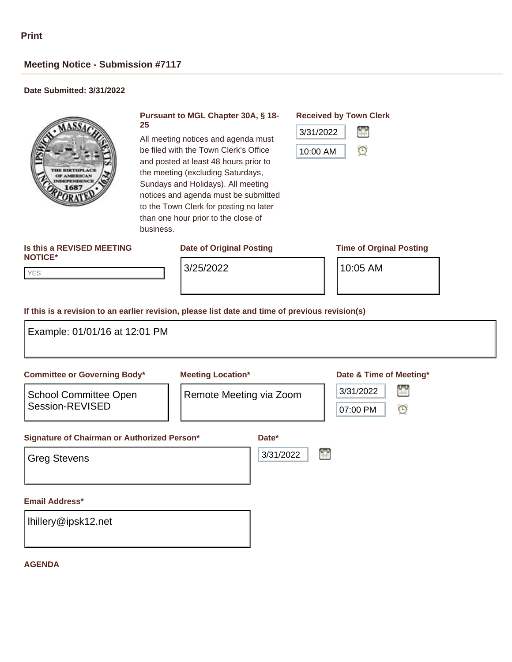# **Meeting Notice - Submission #7117**

# **Date Submitted: 3/31/2022**



#### **Pursuant to MGL Chapter 30A, § 18- 25**

All meeting notices and agenda must be filed with the Town Clerk's Office and posted at least 48 hours prior to the meeting (excluding Saturdays, Sundays and Holidays). All meeting notices and agenda must be submitted to the Town Clerk for posting no later than one hour prior to the close of business.

## **Date of Original Posting Time of Orginal Posting**

## **Received by Town Clerk**



#### **Is this a REVISED MEETING NOTICE\***

YES YES

3/25/2022 10:05 AM

### **If this is a revision to an earlier revision, please list date and time of previous revision(s)**

| Example: 01/01/16 at 12:01 PM                                                                                                         |                                                              |                                                                  |  |
|---------------------------------------------------------------------------------------------------------------------------------------|--------------------------------------------------------------|------------------------------------------------------------------|--|
| <b>Committee or Governing Body*</b><br><b>School Committee Open</b><br>Session-REVISED<br>Signature of Chairman or Authorized Person* | <b>Meeting Location*</b><br>Remote Meeting via Zoom<br>Date* | Date & Time of Meeting*<br>H<br>3/31/2022<br>$\odot$<br>07:00 PM |  |
| <b>Greg Stevens</b>                                                                                                                   | 3/31/2022                                                    | Ħ                                                                |  |
| <b>Email Address*</b><br>Ihillery@ipsk12.net                                                                                          |                                                              |                                                                  |  |

### **AGENDA**